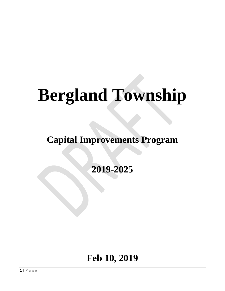# **Bergland Township**

**Capital Improvements Program**

**2019-2025**

# **Feb 10, 2019**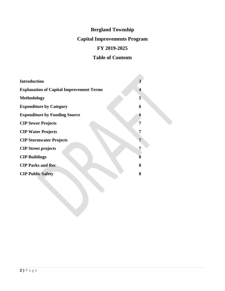# **Bergland Township**

# **Capital Improvements Program**

# **FY 2019-2025**

# **Table of Contents**

| <b>Introduction</b>                             |   |
|-------------------------------------------------|---|
| <b>Explanation of Capital Improvement Terms</b> | 4 |
| <b>Methodology</b>                              | 5 |
| <b>Expenditure by Category</b>                  | 6 |
| <b>Expenditure by Funding Source</b>            | 6 |
| <b>CIP Sewer Projects</b>                       | 7 |
| <b>CIP Water Projects</b>                       | 7 |
| <b>CIP Stormwater Projects</b>                  | 7 |
| <b>CIP</b> Street projects                      | 7 |
| <b>CIP Buildings</b>                            | 8 |
| <b>CIP Parks and Rec</b>                        | 8 |
| <b>CIP Public Safety</b>                        | 8 |
|                                                 |   |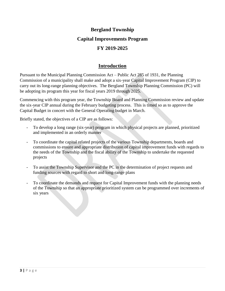# **Bergland Township Capital Improvements Program FY 2019-2025**

## **Introduction**

Pursuant to the Municipal Planning Commission Act – Public Act 285 of 1931, the Planning Commission of a municipality shall make and adopt a six-year Capital Improvement Program (CIP) to carry out its long-range planning objectives. The Bergland Township Planning Commission (PC) will be adopting its program this year for fiscal years 2019 through 2025.

Commencing with this program year, the Township Board and Planning Commission review and update the six-year CIP annual during the February budgeting process. This is timed so as to approve the Capital Budget in concert with the General Operating budget in March.

Briefly stated, the objectives of a CIP are as follows:

- To develop a long range (six-year) program in which physical projects are planned, prioritized and implemented in an orderly manner
- To coordinate the capital related projects of the various Township departments, boards and commissions to ensure and appropriate distribution of capital improvement funds with regards to the needs of the Township and the fiscal ability of the Township to undertake the requested projects
- To assist the Township Supervisor and the PC in the determination of project requests and funding sources with regard to short and long-range plans
- To coordinate the demands and request for Capital Improvement funds with the planning needs of the Township so that an appropriate prioritized system can be programmed over increments of six years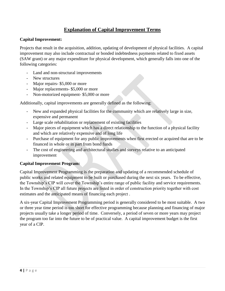# **Explanation of Capital Improvement Terms**

#### **Capital Improvement:**

Projects that result in the acquisition, addition, updating of development of physical facilities. A capital improvement may also include contractual or bonded indebtedness payments related to fixed assets (SAW grant) or any major expenditure for physical development, which generally falls into one of the following categories:

- Land and non-structural improvements
- New structures
- Major repairs- \$5,000 or more
- Major replacements- \$5,000 or more
- Non-motorized equipment- \$5,000 or more

Additionally, capital improvements are generally defined as the following:

- New and expanded physical facilities for the community which are relatively large in size, expensive and permanent
- Large scale rehabilitation or replacement of existing facilities
- Major pieces of equipment which has a direct relationship to the function of a physical facility and which are relatively expensive and of long life
- Purchase of equipment for any public improvements when first erected or acquired that are to be financed in whole or in part from bond funds
- The cost of engineering and architectural studies and surveys relative to an anticipated improvement

### **Capital Improvement Program:**

Capital Improvement Programming is the preparation and updating of a recommended schedule of public works and related equipment to be built or purchased during the next six years. To be effective, the Township's CIP will cover the Township's entire range of public facility and service requirements. In the Township's CIP all future projects are listed in order of construction priority together with cost estimates and the anticipated means of financing each project .

A six-year Capital Improvement Programming period is generally considered to be most suitable. A two or three year time period is too short for effective programming because planning and financing of major projects usually take a longer period of time. Conversely, a period of seven or more years may project the program too far into the future to be of practical value. A capital improvement budget is the first year of a CIP.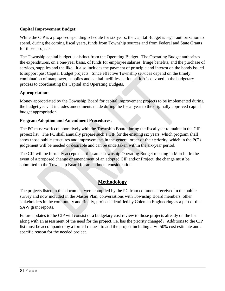### **Capital Improvement Budget:**

While the CIP is a proposed spending schedule for six years, the Capital Budget is legal authorization to spend, during the coming fiscal years, funds from Township sources and from Federal and State Grants for those projects.

The Township capital budget is distinct from the Operating Budget. The Operating Budget authorizes the expenditures, on a one-year basis, of funds for employee salaries, fringe benefits, and the purchase of services, supplies and the like. It also includes the payment of principle and interest on the bonds issued to support past Capital Budget projects. Since effective Township services depend on the timely combination of manpower, supplies and capital facilities, serious effort is devoted in the budgetary process to coordinating the Capital and Operating Budgets.

#### **Appropriation:**

Money appropriated by the Township Board for capital improvement projects to be implemented during the budget year. It includes amendments made during the fiscal year to the originally approved capital budget appropriation.

#### **Program Adoption and Amendment Procedures:**

The PC must work collaboratively with the Township Board during the fiscal year to maintain the CIP project list. The PC shall annually prepare such a CIP for the ensuing six years, which program shall show those public structures and improvements in the general order of their priority, which in the PC's judgement will be needed or desirable and can be undertaken within the six-year period.

The CIP will be formally accepted at the same Township Operating Budget meeting in March. In the event of a proposed change or amendment of an adopted CIP and/or Project, the change must be submitted to the Township Board for amendment consideration.

## **Methodology**

The projects listed in this document were compiled by the PC from comments received in the public survey and now included in the Master Plan, conversations with Township Board members, other stakeholders in the community and finally, projects identified by Coleman Engineering as a part of the SAW grant reports.

Future updates to the CIP will consist of a budgetary cost review to those projects already on the list along with an assessment of the need for the project, i.e. has the priority changed? Additions to the CIP list must be accompanied by a formal request to add the project including a  $+/-50\%$  cost estimate and a specific reason for the needed project.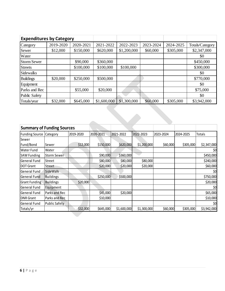|                    | <b>Expenditures by Category</b> |           |             |             |           |           |                 |  |  |
|--------------------|---------------------------------|-----------|-------------|-------------|-----------|-----------|-----------------|--|--|
| Category           | 2019-2020                       | 2020-2021 | 2021-2022   | 2022-2023   | 2023-2024 | 2024-2025 | Totals/Category |  |  |
| Sewer              | \$12,000                        | \$150,000 | \$620,000   | \$1,200,000 | \$60,000  | \$305,000 | \$2,347,000     |  |  |
| Water              |                                 |           |             |             |           |           | \$0             |  |  |
| <b>Storm Sewer</b> |                                 | \$90,000  | \$360,000   |             |           |           | \$450,000       |  |  |
| <b>Streets</b>     |                                 | \$100,000 | \$100,000   | \$100,000   |           |           | \$300,000       |  |  |
| <b>Sidewalks</b>   |                                 |           |             |             |           |           | \$0             |  |  |
| Buildings          | \$20,000                        | \$250,000 | \$500,000   |             |           |           | \$770,000       |  |  |
| Equipment          |                                 |           |             |             |           |           | \$0             |  |  |
| Parks and Rec      |                                 | \$55,000  | \$20,000    |             |           |           | \$75,000        |  |  |
| Public Safety      |                                 |           |             |             |           |           | \$0             |  |  |
| Totals/year        | \$32,000                        | \$645,000 | \$1,600,000 | \$1,300,000 | \$60,000  | \$305,000 | \$3,942,000     |  |  |
|                    |                                 |           |             |             |           |           |                 |  |  |

| <b>Summary of Funding Sources</b> |                      |           |           |             |             |           |           |             |
|-----------------------------------|----------------------|-----------|-----------|-------------|-------------|-----------|-----------|-------------|
| <b>Funding Source</b>             | Category             | 2019-2020 | 2020-2021 | 2021-2022   | 2022-2023   | 2023-2024 | 2024-2025 | Totals      |
| Sewer                             |                      |           |           |             |             |           |           |             |
| Fund/Bond                         | Sewer                | \$12,000  | \$150,000 | \$620,000   | \$1,200,000 | \$60,000  | \$305,000 | \$2,347,000 |
| <b>Water Fund</b>                 | Water                |           |           |             |             |           |           | \$0         |
| <b>SAW Funding</b>                | <b>Storm Sewer</b>   |           | \$90,000  | \$360,000   |             |           |           | \$450,000   |
| General Fund                      | Street               |           | \$80,000  | \$80,000    | \$80,000    |           |           | \$240,000   |
| <b>DOT Grant</b>                  | Street               |           | \$20,000  | \$20,000    | \$20,000    |           |           | \$60,000    |
| General Fund                      | Side Walk            |           |           |             |             |           |           | \$0         |
| General Fund                      | <b>Buildings</b>     |           | \$250,000 | \$500,000   |             |           |           | \$750,000   |
| <b>Grant Funding</b>              | <b>Buildings</b>     | \$20,000  |           |             |             |           |           | \$20,000    |
| General Fund                      | Equipment            |           |           |             |             |           |           | \$0         |
| General Fund                      | Parks and Rec        |           | \$45,000  | \$20,000    |             |           |           | \$65,000    |
| <b>DNR</b> Grant                  | Parks and Rec        |           | \$10,000  |             |             |           |           | \$10,000    |
| General Fund                      | <b>Public Safety</b> |           |           |             |             |           |           | \$0         |
| Totals/yr                         |                      | \$32,000  | \$645,000 | \$1,600,000 | \$1,300,000 | \$60,000  | \$305,000 | \$3,942,000 |

 $\mathcal{L}$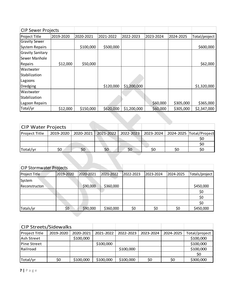| <b>CIP Sewer Projects</b> |           |           |           |             |           |           |               |
|---------------------------|-----------|-----------|-----------|-------------|-----------|-----------|---------------|
| Project Title             | 2019-2020 | 2020-2021 | 2021-2022 | 2022-2023   | 2023-2024 | 2024-2025 | Total/project |
| <b>Gravity Sewer</b>      |           |           |           |             |           |           |               |
| System Repairs            |           | \$100,000 | \$500,000 |             |           |           | \$600,000     |
| Gravity Sanitary          |           |           |           |             |           |           |               |
| Sewer Manhole             |           |           |           |             |           |           |               |
| Repairs                   | \$12,000  | \$50,000  |           |             |           |           | \$62,000      |
| Wastwater                 |           |           |           |             |           |           |               |
| Stabilization             |           |           |           |             |           |           |               |
| Lagoons                   |           |           |           |             |           |           |               |
| Dredging                  |           |           | \$120,000 | \$1,200,000 |           |           | \$1,320,000   |
| Wastwater                 |           |           |           |             |           |           |               |
| Stabilization             |           |           |           |             |           |           |               |
| Lagoon Repairs            |           |           |           |             | \$60,000  | \$305,000 | \$365,000     |
| Total/yr                  | \$12,000  | \$150,000 | \$620,000 | \$1,200,000 | \$60,000  | \$305,000 | \$2,347,000   |
|                           |           |           |           |             |           |           |               |

| <b>CIP Water Projects</b> |           |     |                                         |     |                         |
|---------------------------|-----------|-----|-----------------------------------------|-----|-------------------------|
| <b>Project Title</b>      | 2019-2020 |     | 2020-2021 2021-2022 2022-2023 2023-2024 |     | 2024-2025 Total/Project |
|                           |           |     |                                         |     |                         |
|                           |           |     |                                         |     | S0                      |
| Total/yr                  | \$0       | \$0 | \$0                                     | \$0 | S0                      |

| <b>CIP Stormwater Projects</b> |           |           |           |           |           |           |                |
|--------------------------------|-----------|-----------|-----------|-----------|-----------|-----------|----------------|
| Project Title                  | 2019-2020 | 2020-2021 | 2021-2022 | 2022-2023 | 2023-2024 | 2024-2025 | Totals/project |
| System                         |           |           |           |           |           |           |                |
| Reconstructon                  |           | \$90,000  | \$360,000 |           |           |           | \$450,000      |
|                                |           |           |           |           |           |           | \$0            |
|                                |           |           |           |           |           |           | \$0            |
|                                |           |           |           |           |           |           | \$0            |
| Totals/yr                      | \$0       | \$90,000  | \$360,000 | \$0       | \$0       | \$0       | \$450,000      |

| <b>CIP Streets/Sidewalks</b> |           |           |           |           |           |           |               |
|------------------------------|-----------|-----------|-----------|-----------|-----------|-----------|---------------|
| Project Title                | 2019-2020 | 2020-2021 | 2021-2022 | 2022-2023 | 2023-2024 | 2024-2025 | Total/project |
| <b>Ash Street</b>            |           | \$100,000 |           |           |           |           | \$100,000     |
| <b>Pine Street</b>           |           |           | \$100,000 |           |           |           | \$100,000     |
| Railroad                     |           |           |           | \$100,000 |           |           | \$100,000     |
|                              |           |           |           |           |           |           | \$0           |
| Total/yr                     | \$0       | \$100,000 | \$100,000 | \$100,000 | \$0       | \$0       | \$300,000     |